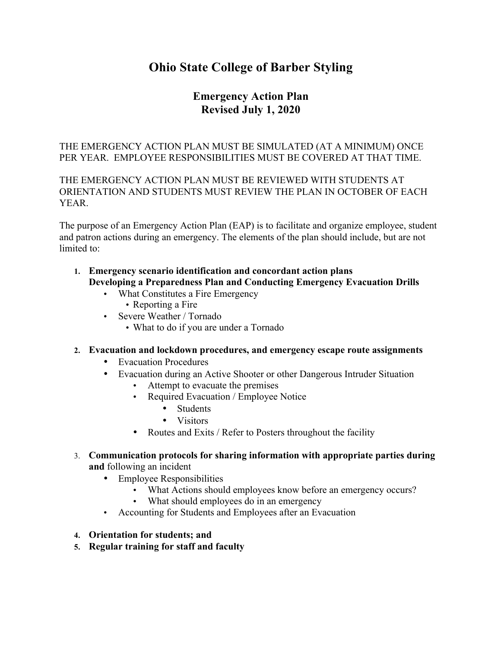# **Ohio State College of Barber Styling**

## **Emergency Action Plan Revised July 1, 2020**

## THE EMERGENCY ACTION PLAN MUST BE SIMULATED (AT A MINIMUM) ONCE PER YEAR. EMPLOYEE RESPONSIBILITIES MUST BE COVERED AT THAT TIME.

## THE EMERGENCY ACTION PLAN MUST BE REVIEWED WITH STUDENTS AT ORIENTATION AND STUDENTS MUST REVIEW THE PLAN IN OCTOBER OF EACH **YEAR**

The purpose of an Emergency Action Plan (EAP) is to facilitate and organize employee, student and patron actions during an emergency. The elements of the plan should include, but are not limited to:

- **1. Emergency scenario identification and concordant action plans Developing a Preparedness Plan and Conducting Emergency Evacuation Drills**
	- What Constitutes a Fire Emergency
		- Reporting a Fire
	- Severe Weather / Tornado
		- What to do if you are under a Tornado
- **2. Evacuation and lockdown procedures, and emergency escape route assignments** 
	- Evacuation Procedures
	- Evacuation during an Active Shooter or other Dangerous Intruder Situation
		- Attempt to evacuate the premises
		- Required Evacuation / Employee Notice
			- Students
			- Visitors
		- Routes and Exits / Refer to Posters throughout the facility
- 3. **Communication protocols for sharing information with appropriate parties during and** following an incident
	- Employee Responsibilities
		- What Actions should employees know before an emergency occurs?
		- What should employees do in an emergency
	- Accounting for Students and Employees after an Evacuation
- **4. Orientation for students; and**
- **5. Regular training for staff and faculty**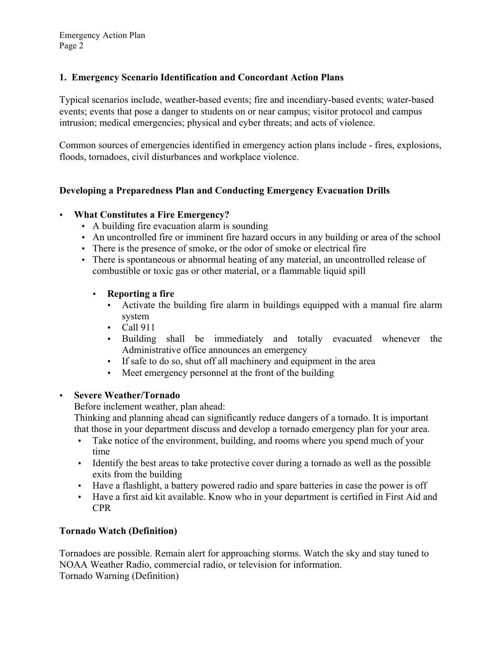## **1. Emergency Scenario Identification and Concordant Action Plans**

Typical scenarios include, weather-based events; fire and incendiary-based events; water-based events; events that pose a danger to students on or near campus; visitor protocol and campus intrusion; medical emergencies; physical and cyber threats; and acts of violence.

Common sources of emergencies identified in emergency action plans include - fires, explosions, floods, tornadoes, civil disturbances and workplace violence.

## **Developing a Preparedness Plan and Conducting Emergency Evacuation Drills**

## • **What Constitutes a Fire Emergency?**

- A building fire evacuation alarm is sounding
- An uncontrolled fire or imminent fire hazard occurs in any building or area of the school
- There is the presence of smoke, or the odor of smoke or electrical fire
- There is spontaneous or abnormal heating of any material, an uncontrolled release of combustible or toxic gas or other material, or a flammable liquid spill

## • **Reporting a fire**

- Activate the building fire alarm in buildings equipped with a manual fire alarm system
- Call 911
- Building shall be immediately and totally evacuated whenever the Administrative office announces an emergency
- If safe to do so, shut off all machinery and equipment in the area
- Meet emergency personnel at the front of the building

#### • **Severe Weather/Tornado**

Before inclement weather, plan ahead:

Thinking and planning ahead can significantly reduce dangers of a tornado. It is important that those in your department discuss and develop a tornado emergency plan for your area.

- Take notice of the environment, building, and rooms where you spend much of your time
- Identify the best areas to take protective cover during a tornado as well as the possible exits from the building
- Have a flashlight, a battery powered radio and spare batteries in case the power is off
- Have a first aid kit available. Know who in your department is certified in First Aid and CPR

## **Tornado Watch (Definition)**

Tornadoes are possible. Remain alert for approaching storms. Watch the sky and stay tuned to NOAA Weather Radio, commercial radio, or television for information. Tornado Warning (Definition)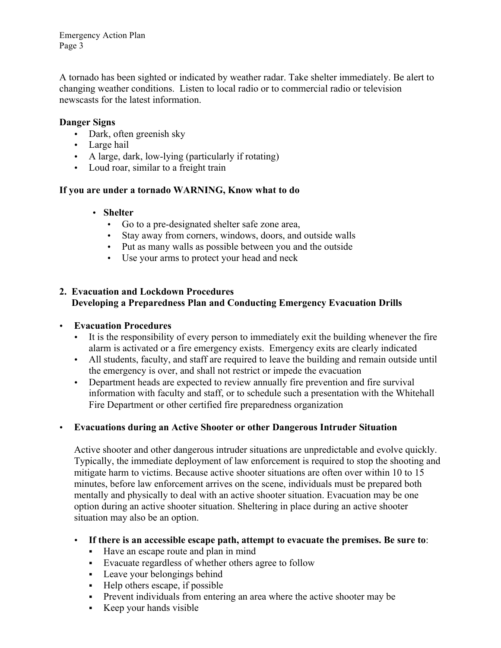Emergency Action Plan Page 3

A tornado has been sighted or indicated by weather radar. Take shelter immediately. Be alert to changing weather conditions. Listen to local radio or to commercial radio or television newscasts for the latest information.

#### **Danger Signs**

- Dark, often greenish sky
- Large hail
- A large, dark, low-lying (particularly if rotating)
- Loud roar, similar to a freight train

#### **If you are under a tornado WARNING, Know what to do**

#### • **Shelter**

- Go to a pre-designated shelter safe zone area,
- Stay away from corners, windows, doors, and outside walls
- Put as many walls as possible between you and the outside
- Use your arms to protect your head and neck

#### **2. Evacuation and Lockdown Procedures Developing a Preparedness Plan and Conducting Emergency Evacuation Drills**

#### • **Evacuation Procedures**

- It is the responsibility of every person to immediately exit the building whenever the fire alarm is activated or a fire emergency exists. Emergency exits are clearly indicated
- All students, faculty, and staff are required to leave the building and remain outside until the emergency is over, and shall not restrict or impede the evacuation
- Department heads are expected to review annually fire prevention and fire survival information with faculty and staff, or to schedule such a presentation with the Whitehall Fire Department or other certified fire preparedness organization

## • **Evacuations during an Active Shooter or other Dangerous Intruder Situation**

Active shooter and other dangerous intruder situations are unpredictable and evolve quickly. Typically, the immediate deployment of law enforcement is required to stop the shooting and mitigate harm to victims. Because active shooter situations are often over within 10 to 15 minutes, before law enforcement arrives on the scene, individuals must be prepared both mentally and physically to deal with an active shooter situation. Evacuation may be one option during an active shooter situation. Sheltering in place during an active shooter situation may also be an option.

#### • **If there is an accessible escape path, attempt to evacuate the premises. Be sure to**:

- § Have an escape route and plan in mind
- § Evacuate regardless of whether others agree to follow
- Leave your belongings behind
- § Help others escape, if possible
- Prevent individuals from entering an area where the active shooter may be
- § Keep your hands visible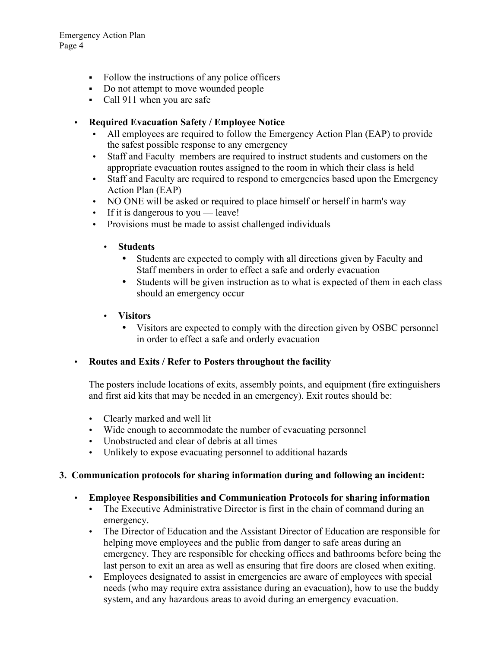Emergency Action Plan Page 4

- Follow the instructions of any police officers
- Do not attempt to move wounded people
- Call 911 when you are safe

## • **Required Evacuation Safety / Employee Notice**

- All employees are required to follow the Emergency Action Plan (EAP) to provide the safest possible response to any emergency
- Staff and Faculty members are required to instruct students and customers on the appropriate evacuation routes assigned to the room in which their class is held
- Staff and Faculty are required to respond to emergencies based upon the Emergency Action Plan (EAP)
- NO ONE will be asked or required to place himself or herself in harm's way
- If it is dangerous to you leave!
- Provisions must be made to assist challenged individuals
	- **Students**
		- Students are expected to comply with all directions given by Faculty and Staff members in order to effect a safe and orderly evacuation
		- Students will be given instruction as to what is expected of them in each class should an emergency occur
	- **Visitors**
		- Visitors are expected to comply with the direction given by OSBC personnel in order to effect a safe and orderly evacuation

## • **Routes and Exits / Refer to Posters throughout the facility**

The posters include locations of exits, assembly points, and equipment (fire extinguishers and first aid kits that may be needed in an emergency). Exit routes should be:

- Clearly marked and well lit
- Wide enough to accommodate the number of evacuating personnel
- Unobstructed and clear of debris at all times
- Unlikely to expose evacuating personnel to additional hazards

#### **3. Communication protocols for sharing information during and following an incident:**

- **Employee Responsibilities and Communication Protocols for sharing information**
	- The Executive Administrative Director is first in the chain of command during an emergency.
	- The Director of Education and the Assistant Director of Education are responsible for helping move employees and the public from danger to safe areas during an emergency. They are responsible for checking offices and bathrooms before being the last person to exit an area as well as ensuring that fire doors are closed when exiting.
	- Employees designated to assist in emergencies are aware of employees with special needs (who may require extra assistance during an evacuation), how to use the buddy system, and any hazardous areas to avoid during an emergency evacuation.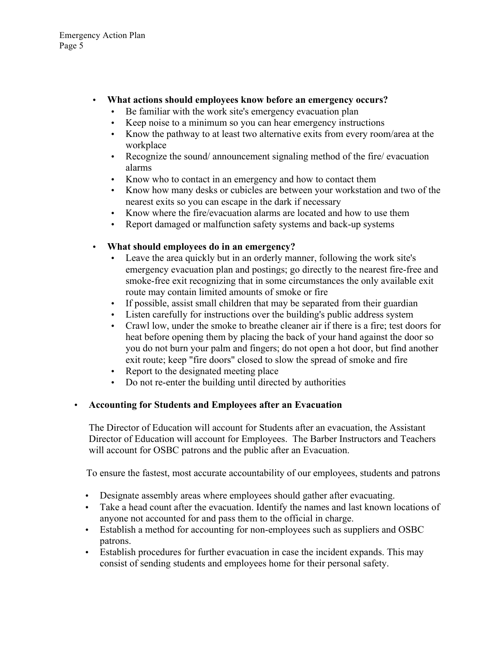- **What actions should employees know before an emergency occurs?**
	- Be familiar with the work site's emergency evacuation plan
	- Keep noise to a minimum so you can hear emergency instructions
	- Know the pathway to at least two alternative exits from every room/area at the workplace
	- Recognize the sound/ announcement signaling method of the fire/ evacuation alarms
	- Know who to contact in an emergency and how to contact them
	- Know how many desks or cubicles are between your workstation and two of the nearest exits so you can escape in the dark if necessary
	- Know where the fire/evacuation alarms are located and how to use them
	- Report damaged or malfunction safety systems and back-up systems
- **What should employees do in an emergency?**
	- Leave the area quickly but in an orderly manner, following the work site's emergency evacuation plan and postings; go directly to the nearest fire-free and smoke-free exit recognizing that in some circumstances the only available exit route may contain limited amounts of smoke or fire
	- If possible, assist small children that may be separated from their guardian
	- Listen carefully for instructions over the building's public address system
	- Crawl low, under the smoke to breathe cleaner air if there is a fire; test doors for heat before opening them by placing the back of your hand against the door so you do not burn your palm and fingers; do not open a hot door, but find another exit route; keep "fire doors" closed to slow the spread of smoke and fire
	- Report to the designated meeting place
	- Do not re-enter the building until directed by authorities
- **Accounting for Students and Employees after an Evacuation**

The Director of Education will account for Students after an evacuation, the Assistant Director of Education will account for Employees. The Barber Instructors and Teachers will account for OSBC patrons and the public after an Evacuation.

To ensure the fastest, most accurate accountability of our employees, students and patrons

- Designate assembly areas where employees should gather after evacuating.
- Take a head count after the evacuation. Identify the names and last known locations of anyone not accounted for and pass them to the official in charge.
- Establish a method for accounting for non-employees such as suppliers and OSBC patrons.
- Establish procedures for further evacuation in case the incident expands. This may consist of sending students and employees home for their personal safety.